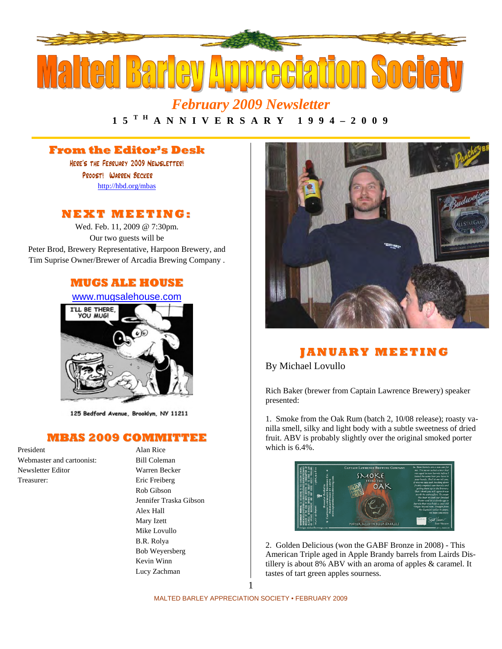

*February 2009 Newsletter* 

## 1 5 <sup>T H</sup> A N N I V E R S A R Y 1 9 9 4 – 2 0 0 9

#### **From the Editor's Desk**

Here's the February 2009 Newsletter! Proost! Warren Becker <http://hbd.org/mbas>

#### **NEXT MEETI NG:**

Wed. Feb. 11, 2009 @ 7:30pm. Our two guests will be Peter Brod, Brewery Representative, Harpoon Brewery, and Tim Suprise Owner/Brewer of Arcadia Brewing Company .

#### **MUGS ALE HOUSE**

[www.mugsalehouse.com](http://www.mugsalehouse.com/)



125 Bedford Avenue, Brooklyn, NY 11211

#### **MBAS 2009 COMMITTEE**

President Alan Rice Webmaster and cartoonist: Bill Coleman Newsletter Editor Warren Becker Treasurer: Eric Freiberg

 Rob Gibson Jennifer Traska Gibson Alex Hall Mary Izett Mike Lovullo B.R. Rolya Bob Weyersberg Kevin Winn Lucy Zachman



#### **J AN UA RY MEETI N G**

By Michael Lovullo

Rich Baker (brewer from Captain Lawrence Brewery) speaker presented:

1. Smoke from the Oak Rum (batch 2, 10/08 release); roasty vanilla smell, silky and light body with a subtle sweetness of dried fruit. ABV is probably slightly over the original smoked porter which is 6.4%.



2. Golden Delicious (won the GABF Bronze in 2008) - This American Triple aged in Apple Brandy barrels from Lairds Distillery is about 8% ABV with an aroma of apples & caramel. It tastes of tart green apples sourness.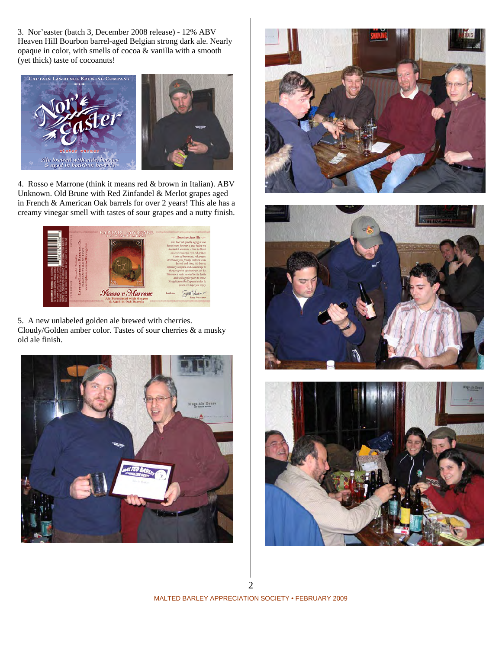3. Nor'easter (batch 3, December 2008 release) - 12% ABV Heaven Hill Bourbon barrel-aged Belgian strong dark ale. Nearly opaque in color, with smells of cocoa & vanilla with a smooth (yet thick) taste of cocoanuts!



4. Rosso e Marrone (think it means red & brown in Italian). ABV Unknown. Old Brune with Red Zinfandel & Merlot grapes aged in French & American Oak barrels for over 2 years! This ale has a creamy vinegar smell with tastes of sour grapes and a nutty finish.



5. A new unlabeled golden ale brewed with cherries. Cloudy/Golden amber color. Tastes of sour cherries & a musky old ale finish.







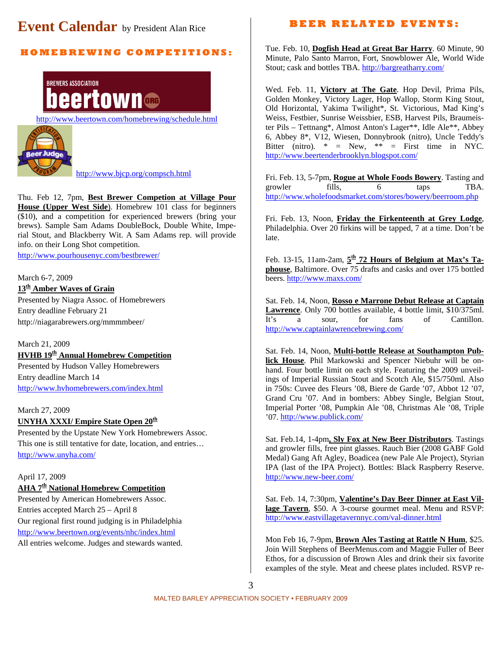# **Event Calendar** by President Alan Rice

#### **H O M E B R E WI N G C O M P E TI TI O N S:**

**BREWERS ASSOCIATION** eertown®

<http://www.beertown.com/homebrewing/schedule.html>



<http://www.bjcp.org/compsch.html>

Thu. Feb 12, 7pm, **Best Brewer Competion at Village Pour House (Upper West Side**). Homebrew 101 class for beginners (\$10), and a competition for experienced brewers (bring your brews). Sample Sam Adams DoubleBock, Double White, Imperial Stout, and Blackberry Wit. A Sam Adams rep. will provide info. on their Long Shot competition.

<http://www.pourhousenyc.com/bestbrewer/>

#### March 6-7, 2009 **13th Amber Waves of Grain**

Presented by Niagra Assoc. of Homebrewers Entry deadline February 21 http://niagarabrewers.org/mmmmbeer/

### March 21, 2009

**HVHB 19th Annual Homebrew Competition** Presented by Hudson Valley Homebrewers Entry deadline March 14 <http://www.hvhomebrewers.com/index.html>

March 27, 2009

#### **UNYHA XXXI/ Empire State Open 20<sup>th</sup>**

Presented by the Upstate New York Homebrewers Assoc. This one is still tentative for date, location, and entries… <http://www.unyha.com/>

#### April 17, 2009

#### **AHA 7th National Homebrew Competition**

Presented by American Homebrewers Assoc. Entries accepted March 25 – April 8 Our regional first round judging is in Philadelphia <http://www.beertown.org/events/nhc/index.html> All entries welcome. Judges and stewards wanted.

#### **B E E R R E L A T E D E V E N T S:**

Tue. Feb. 10, **Dogfish Head at Great Bar Harry**. 60 Minute, 90 Minute, Palo Santo Marron, Fort, Snowblower Ale, World Wide Stout; cask and bottles TBA. <http://bargreatharry.com/>

Wed. Feb. 11, **Victory at The Gate**. Hop Devil, Prima Pils, Golden Monkey, Victory Lager, Hop Wallop, Storm King Stout, Old Horizontal, Yakima Twilight\*, St. Victorious, Mad King's Weiss, Festbier, Sunrise Weissbier, ESB, Harvest Pils, Braumeister Pils – Tettnang\*, Almost Anton's Lager\*\*, Idle Ale\*\*, Abbey 6, Abbey 8\*, V12, Wiesen, Donnybrook (nitro), Uncle Teddy's Bitter (nitro). \* = New, \*\* = First time in NYC. <http://www.beertenderbrooklyn.blogspot.com/>

Fri. Feb. 13, 5-7pm, **Rogue at Whole Foods Bowery**. Tasting and growler fills, 6 taps TBA. <http://www.wholefoodsmarket.com/stores/bowery/beerroom.php>

Fri. Feb. 13, Noon, **Friday the Firkenteenth at Grey Lodge**, Philadelphia. Over 20 firkins will be tapped, 7 at a time. Don't be late.

Feb. 13-15, 11am-2am, **5th 72 Hours of Belgium at Max's Taphouse**, Baltimore. Over 75 drafts and casks and over 175 bottled beers. <http://www.maxs.com/>

Sat. Feb. 14, Noon, **Rosso e Marrone Debut Release at Captain Lawrence**. Only 700 bottles available, 4 bottle limit, \$10/375ml. It's a sour, for fans of Cantillon. <http://www.captainlawrencebrewing.com/>

Sat. Feb. 14, Noon, **Multi-bottle Release at Southampton Publick House**. Phil Markowski and Spencer Niebuhr will be onhand. Four bottle limit on each style. Featuring the 2009 unveilings of Imperial Russian Stout and Scotch Ale, \$15/750ml. Also in 750s: Cuvee des Fleurs '08, Biere de Garde '07, Abbot 12 '07, Grand Cru '07. And in bombers: Abbey Single, Belgian Stout, Imperial Porter '08, Pumpkin Ale '08, Christmas Ale '08, Triple '07. <http://www.publick.com/>

Sat. Feb.14, 1-4pm**, Sly Fox at New Beer Distributors**. Tastings and growler fills, free pint glasses. Rauch Bier (2008 GABF Gold Medal) Gang Aft Agley, Boadicea (new Pale Ale Project), Styrian IPA (last of the IPA Project). Bottles: Black Raspberry Reserve. <http://www.new-beer.com/>

Sat. Feb. 14, 7:30pm, **Valentine's Day Beer Dinner at East Village Tavern**, \$50. A 3-course gourmet meal. Menu and RSVP: <http://www.eastvillagetavernnyc.com/val-dinner.html>

Mon Feb 16, 7-9pm, **Brown Ales Tasting at Rattle N Hum**, \$25. Join Will Stephens of BeerMenus.com and Maggie Fuller of Beer Ethos, for a discussion of Brown Ales and drink their six favorite examples of the style. Meat and cheese plates included. RSVP re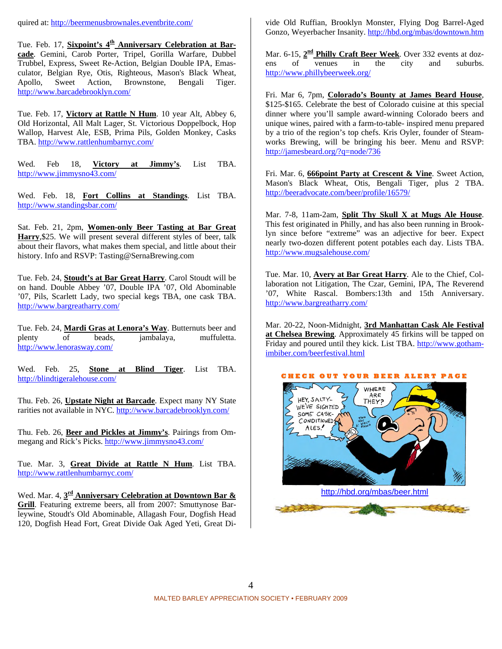quired at: <http://beermenusbrownales.eventbrite.com/>

Tue. Feb. 17, **Sixpoint's 4<sup>th</sup> Anniversary Celebration at Barcade**. Gemini, Carob Porter, Tripel, Gorilla Warfare, Dubbel Trubbel, Express, Sweet Re-Action, Belgian Double IPA, Emasculator, Belgian Rye, Otis, Righteous, Mason's Black Wheat, Apollo, Sweet Action, Brownstone, Bengali Tiger. <http://www.barcadebrooklyn.com/>

Tue. Feb. 17, **Victory at Rattle N Hum**. 10 year Alt, Abbey 6, Old Horizontal, All Malt Lager, St. Victorious Doppelbock, Hop Wallop, Harvest Ale, ESB, Prima Pils, Golden Monkey, Casks TBA. <http://www.rattlenhumbarnyc.com/>

Wed. Feb 18, **Victory at Jimmy's**. List TBA. <http://www.jimmysno43.com/>

Wed. Feb. 18, **Fort Collins at Standings**. List TBA. <http://www.standingsbar.com/>

Sat. Feb. 21, 2pm, **Women-only Beer Tasting at Bar Great Harry**,\$25. We will present several different styles of beer, talk about their flavors, what makes them special, and little about their history. Info and RSVP: Tasting@SernaBrewing.com

Tue. Feb. 24, **Stoudt's at Bar Great Harry**. Carol Stoudt will be on hand. Double Abbey '07, Double IPA '07, Old Abominable '07, Pils, Scarlett Lady, two special kegs TBA, one cask TBA. <http://www.bargreatharry.com/>

Tue. Feb. 24, **Mardi Gras at Lenora's Way**. Butternuts beer and plenty of beads, jambalaya, muffuletta. <http://www.lenorasway.com/>

Wed. Feb. 25, **Stone at Blind Tiger**. List TBA. <http://blindtigeralehouse.com/>

Thu. Feb. 26, **Upstate Night at Barcade**. Expect many NY State rarities not available in NYC.<http://www.barcadebrooklyn.com/>

Thu. Feb. 26, **Beer and Pickles at Jimmy's**. Pairings from Ommegang and Rick's Picks.<http://www.jimmysno43.com/>

Tue. Mar. 3, **Great Divide at Rattle N Hum**. List TBA. <http://www.rattlenhumbarnyc.com/>

Wed. Mar. 4, **3rd Anniversary Celebration at Downtown Bar & Grill**. Featuring extreme beers, all from 2007: Smuttynose Barleywine, Stoudt's Old Abominable, Allagash Four, Dogfish Head 120, Dogfish Head Fort, Great Divide Oak Aged Yeti, Great Divide Old Ruffian, Brooklyn Monster, Flying Dog Barrel-Aged Gonzo, Weyerbacher Insanity. <http://hbd.org/mbas/downtown.htm>

Mar. 6-15, **2<sup>nd</sup> Philly Craft Beer Week**. Over 332 events at doz-<br>ens of venues in the city and suburbs. ens of venues in the city and suburbs. <http://www.phillybeerweek.org/>

Fri. Mar 6, 7pm, **Colorado's Bounty at James Beard House**, \$125-\$165. Celebrate the best of Colorado cuisine at this special dinner where you'll sample award-winning Colorado beers and unique wines, paired with a farm-to-table- inspired menu prepared by a trio of the region's top chefs. Kris Oyler, founder of Steamworks Brewing, will be bringing his beer. Menu and RSVP: <http://jamesbeard.org/?q=node/736>

Fri. Mar. 6, **666point Party at Crescent & Vine**. Sweet Action, Mason's Black Wheat, Otis, Bengali Tiger, plus 2 TBA. <http://beeradvocate.com/beer/profile/16579/>

Mar. 7-8, 11am-2am, **Split Thy Skull X at Mugs Ale House**. This fest originated in Philly, and has also been running in Brooklyn since before "extreme" was an adjective for beer. Expect nearly two-dozen different potent potables each day. Lists TBA. <http://www.mugsalehouse.com/>

Tue. Mar. 10, **Avery at Bar Great Harry**. Ale to the Chief, Collaboration not Litigation, The Czar, Gemini, IPA, The Reverend '07, White Rascal. Bombers:13th and 15th Anniversary. <http://www.bargreatharry.com/>

Mar. 20-22, Noon-Midnight, **3rd Manhattan Cask Ale Festival at Chelsea Brewing**. Approximately 45 firkins will be tapped on Friday and poured until they kick. List TBA. [http://www.gotham](http://www.gotham-imbiber.com/beerfestival.html)[imbiber.com/beerfestival.html](http://www.gotham-imbiber.com/beerfestival.html)